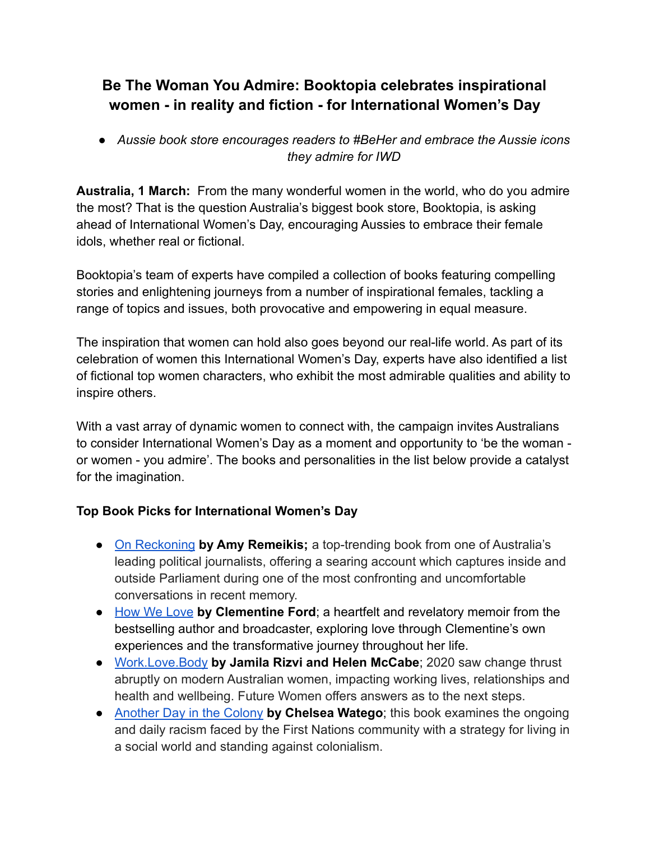# **Be The Woman You Admire: Booktopia celebrates inspirational women - in reality and fiction - for International Women's Day**

*● Aussie book store encourages readers to #BeHer and embrace the Aussie icons they admire for IWD*

**Australia, 1 March:** From the many wonderful women in the world, who do you admire the most? That is the question Australia's biggest book store, Booktopia, is asking ahead of International Women's Day, encouraging Aussies to embrace their female idols, whether real or fictional.

Booktopia's team of experts have compiled a collection of books featuring compelling stories and enlightening journeys from a number of inspirational females, tackling a range of topics and issues, both provocative and empowering in equal measure.

The inspiration that women can hold also goes beyond our real-life world. As part of its celebration of women this International Women's Day, experts have also identified a list of fictional top women characters, who exhibit the most admirable qualities and ability to inspire others.

With a vast array of dynamic women to connect with, the campaign invites Australians to consider International Women's Day as a moment and opportunity to 'be the woman or women - you admire'. The books and personalities in the list below provide a catalyst for the imagination.

# **Top Book Picks for International Women's Day**

- [On Reckoning](https://www.booktopia.com.au/on-reckoning-amy-remeikis/book/9780733647949.html) **by Amy Remeikis;** a top-trending book from one of Australia's leading political journalists, offering a searing account which captures inside and outside Parliament during one of the most confronting and uncomfortable conversations in recent memory.
- [How We Love](https://www.booktopia.com.au/how-we-love-clementine-ford/book/9781760877187.html) **by Clementine Ford**; a heartfelt and revelatory memoir from the bestselling author and broadcaster, exploring love through Clementine's own experiences and the transformative journey throughout her life.
- [Work.Love.Body](https://www.booktopia.com.au/work-love-body--jamila-rizvi/book/9780733647307.html) **by Jamila Rizvi and Helen McCabe**; 2020 saw change thrust abruptly on modern Australian women, impacting working lives, relationships and health and wellbeing. Future Women offers answers as to the next steps.
- [Another Day in the Colony](https://www.booktopia.com.au/another-day-in-the-colony-chelsea-watego/book/9780702263163.html) **by Chelsea Watego**; this book examines the ongoing and daily racism faced by the First Nations community with a strategy for living in a social world and standing against colonialism.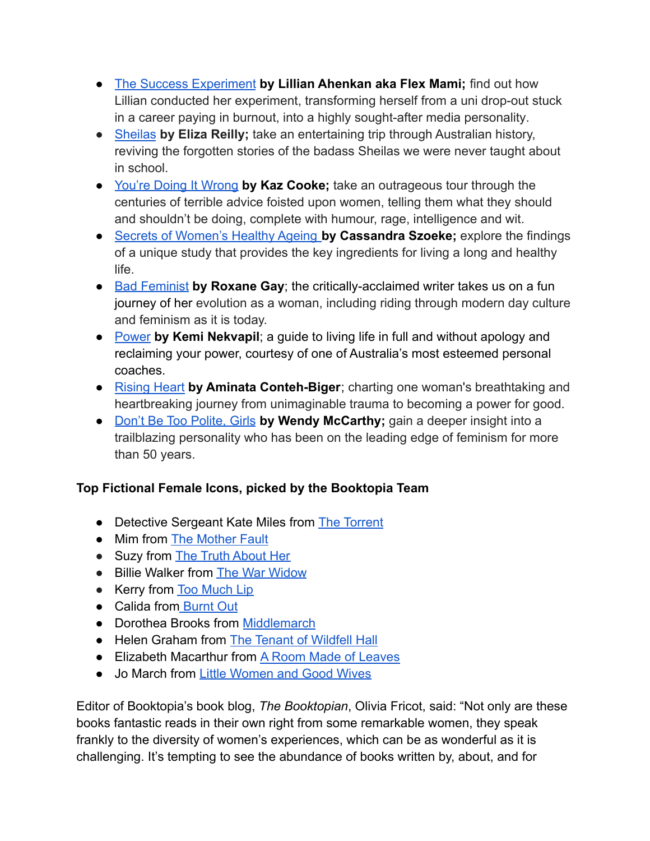- [The Success Experiment](https://www.booktopia.com.au/the-success-experiment-lillian-ahenkan/book/9780648987482.html) **by Lillian Ahenkan aka Flex Mami;** find out how Lillian conducted her experiment, transforming herself from a uni drop-out stuck in a career paying in burnout, into a highly sought-after media personality.
- [Sheilas](https://www.booktopia.com.au/sheilas-eliza-reilly/book/9781760984014.html) **by Eliza Reilly;** take an entertaining trip through Australian history, reviving the forgotten stories of the badass Sheilas we were never taught about in school.
- [You're Doing It Wrong](https://www.booktopia.com.au/you-re-doing-it-wrong-kaz-cooke/book/9781760896973.html) **by Kaz Cooke;** take an outrageous tour through the centuries of terrible advice foisted upon women, telling them what they should and shouldn't be doing, complete with humour, rage, intelligence and wit.
- [Secrets of Women's Healthy Ageing](https://www.booktopia.com.au/secrets-of-women-s-healthy-ageing-cassandra-szoeke/book/9780522877236.html) **by Cassandra Szoeke;** explore the findings of a unique study that provides the key ingredients for living a long and healthy life.
- [Bad Feminist](https://www.booktopia.com.au/bad-feminist-roxane-gay/book/9781472119735.html) **by Roxane Gay**; the critically-acclaimed writer takes us on a fun journey of her evolution as a woman, including riding through modern day culture and feminism as it is today.
- [Power](https://www.booktopia.com.au/power-kemi-nekvapil/book/9781761045240.html) **by Kemi Nekvapil**; a guide to living life in full and without apology and reclaiming your power, courtesy of one of Australia's most esteemed personal coaches.
- [Rising Heart](https://www.booktopia.com.au/rising-heart-aminata-conteh-biger/book/9781760784966.html) **by Aminata Conteh-Biger**; charting one woman's breathtaking and heartbreaking journey from unimaginable trauma to becoming a power for good.
- [Don't Be Too Polite, Girls](https://www.booktopia.com.au/don-t-be-too-polite-girls-wendy-mccarthy/book/9781760878306.html) **by Wendy McCarthy;** gain a deeper insight into a trailblazing personality who has been on the leading edge of feminism for more than 50 years.

# **Top Fictional Female Icons, picked by the Booktopia Team**

- **●** Detective Sergeant Kate Miles from [The Torrent](https://www.booktopia.com.au/the-torrent-dinuka-mckenzie/book/9781460760192.html)
- Mim from [The Mother Fault](https://www.booktopia.com.au/the-mother-fault-kate-mildenhall/book/9781760854478.html)
- **●** Suzy from [The Truth About Her](https://www.booktopia.com.au/the-truth-about-her-jacqueline-maley/book/9781460759165.html)
- **●** Billie Walker from [The War Widow](https://www.booktopia.com.au/the-war-widow-tara-moss/book/9780732290665.html)
- **●** Kerry from [Too Much Lip](https://www.booktopia.com.au/too-much-lip-melissa-lucashenko/book/9780702263040.html)
- **●** Calida from [Burnt Out](https://www.booktopia.com.au/burnt-out-victoria-brookman/book/9781460760321.html)
- **●** Dorothea Brooks from [Middlemarch](https://www.booktopia.com.au/middlemarch-george-eliot/book/9780099516231.html)
- **●** Helen Graham from [The Tenant of Wildfell Hall](https://www.booktopia.com.au/the-tenant-of-wildfell-hall-anne-bronte/book/9781784870751.html)
- **●** Elizabeth Macarthur from [A Room Made of Leaves](https://www.booktopia.com.au/a-room-made-of-leaves-kate-grenville/book/9781922330024.html)
- **●** Jo March from [Little Women and Good Wives](https://www.booktopia.com.au/little-women-with-good-wives-louisa-may-alcott/book/9780141192413.html)

Editor of Booktopia's book blog, *The Booktopian*, Olivia Fricot, said: "Not only are these books fantastic reads in their own right from some remarkable women, they speak frankly to the diversity of women's experiences, which can be as wonderful as it is challenging. It's tempting to see the abundance of books written by, about, and for